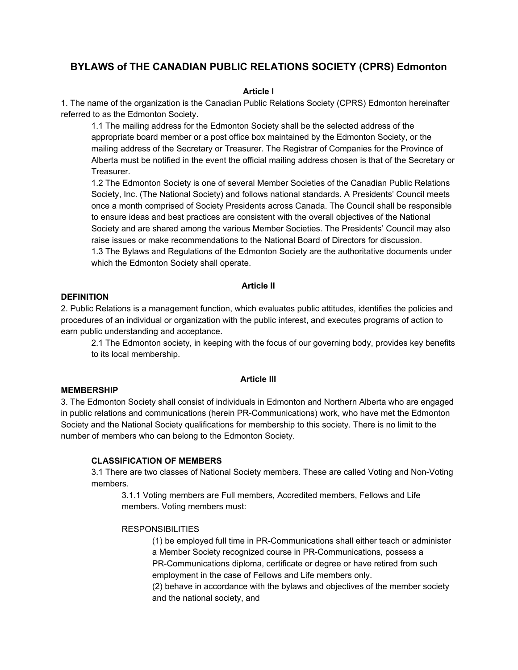# **BYLAWS of THE CANADIAN PUBLIC RELATIONS SOCIETY (CPRS) Edmonton**

# **Article I**

1. The name of the organization is the Canadian Public Relations Society (CPRS) Edmonton hereinafter referred to as the Edmonton Society.

1.1 The mailing address for the Edmonton Society shall be the selected address of the appropriate board member or a post office box maintained by the Edmonton Society, or the mailing address of the Secretary or Treasurer. The Registrar of Companies for the Province of Alberta must be notified in the event the official mailing address chosen is that of the Secretary or Treasurer.

1.2 The Edmonton Society is one of several Member Societies of the Canadian Public Relations Society, Inc. (The National Society) and follows national standards. A Presidents' Council meets once a month comprised of Society Presidents across Canada. The Council shall be responsible to ensure ideas and best practices are consistent with the overall objectives of the National Society and are shared among the various Member Societies. The Presidents' Council may also raise issues or make recommendations to the National Board of Directors for discussion. 1.3 The Bylaws and Regulations of the Edmonton Society are the authoritative documents under which the Edmonton Society shall operate.

# **Article II**

### **DEFINITION**

2. Public Relations is a management function, which evaluates public attitudes, identifies the policies and procedures of an individual or organization with the public interest, and executes programs of action to earn public understanding and acceptance.

2.1 The Edmonton society, in keeping with the focus of our governing body, provides key benefits to its local membership.

# **Article III**

### **MEMBERSHIP**

3. The Edmonton Society shall consist of individuals in Edmonton and Northern Alberta who are engaged in public relations and communications (herein PR-Communications) work, who have met the Edmonton Society and the National Society qualifications for membership to this society. There is no limit to the number of members who can belong to the Edmonton Society.

### **CLASSIFICATION OF MEMBERS**

3.1 There are two classes of National Society members. These are called Voting and Non-Voting members.

3.1.1 Voting members are Full members, Accredited members, Fellows and Life members. Voting members must:

### **RESPONSIBILITIES**

(1) be employed full time in PR-Communications shall either teach or administer a Member Society recognized course in PR-Communications, possess a PR-Communications diploma, certificate or degree or have retired from such employment in the case of Fellows and Life members only.

(2) behave in accordance with the bylaws and objectives of the member society and the national society, and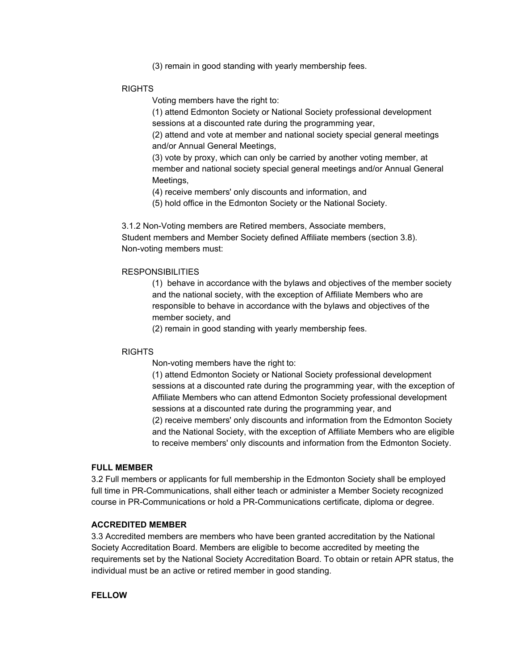(3) remain in good standing with yearly membership fees.

### RIGHTS

Voting members have the right to:

(1) attend Edmonton Society or National Society professional development sessions at a discounted rate during the programming year,

(2) attend and vote at member and national society special general meetings and/or Annual General Meetings,

(3) vote by proxy, which can only be carried by another voting member, at member and national society special general meetings and/or Annual General Meetings,

(4) receive members' only discounts and information, and

(5) hold office in the Edmonton Society or the National Society.

3.1.2 Non-Voting members are Retired members, Associate members, Student members and Member Society defined Affiliate members (section 3.8). Non-voting members must:

#### **RESPONSIBILITIES**

(1) behave in accordance with the bylaws and objectives of the member society and the national society, with the exception of Affiliate Members who are responsible to behave in accordance with the bylaws and objectives of the member society, and

(2) remain in good standing with yearly membership fees.

### RIGHTS

Non-voting members have the right to:

(1) attend Edmonton Society or National Society professional development sessions at a discounted rate during the programming year, with the exception of Affiliate Members who can attend Edmonton Society professional development sessions at a discounted rate during the programming year, and (2) receive members' only discounts and information from the Edmonton Society and the National Society, with the exception of Affiliate Members who are eligible to receive members' only discounts and information from the Edmonton Society.

#### **FULL MEMBER**

3.2 Full members or applicants for full membership in the Edmonton Society shall be employed full time in PR-Communications, shall either teach or administer a Member Society recognized course in PR-Communications or hold a PR-Communications certificate, diploma or degree.

#### **ACCREDITED MEMBER**

3.3 Accredited members are members who have been granted accreditation by the National Society Accreditation Board. Members are eligible to become accredited by meeting the requirements set by the National Society Accreditation Board. To obtain or retain APR status, the individual must be an active or retired member in good standing.

# **FELLOW**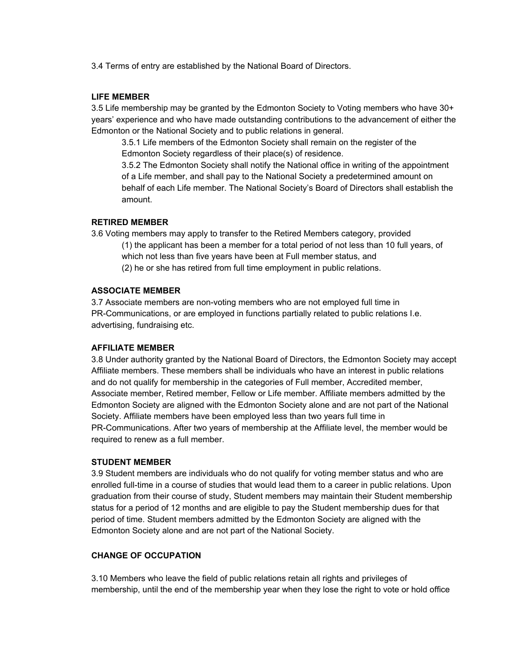3.4 Terms of entry are established by the National Board of Directors.

#### **LIFE MEMBER**

3.5 Life membership may be granted by the Edmonton Society to Voting members who have 30+ years' experience and who have made outstanding contributions to the advancement of either the Edmonton or the National Society and to public relations in general.

3.5.1 Life members of the Edmonton Society shall remain on the register of the Edmonton Society regardless of their place(s) of residence.

3.5.2 The Edmonton Society shall notify the National office in writing of the appointment of a Life member, and shall pay to the National Society a predetermined amount on behalf of each Life member. The National Society's Board of Directors shall establish the amount.

#### **RETIRED MEMBER**

3.6 Voting members may apply to transfer to the Retired Members category, provided

(1) the applicant has been a member for a total period of not less than 10 full years, of which not less than five years have been at Full member status, and

(2) he or she has retired from full time employment in public relations.

### **ASSOCIATE MEMBER**

3.7 Associate members are non-voting members who are not employed full time in PR-Communications, or are employed in functions partially related to public relations I.e. advertising, fundraising etc.

#### **AFFILIATE MEMBER**

3.8 Under authority granted by the National Board of Directors, the Edmonton Society may accept Affiliate members. These members shall be individuals who have an interest in public relations and do not qualify for membership in the categories of Full member, Accredited member, Associate member, Retired member, Fellow or Life member. Affiliate members admitted by the Edmonton Society are aligned with the Edmonton Society alone and are not part of the National Society. Affiliate members have been employed less than two years full time in PR-Communications. After two years of membership at the Affiliate level, the member would be required to renew as a full member.

#### **STUDENT MEMBER**

3.9 Student members are individuals who do not qualify for voting member status and who are enrolled full-time in a course of studies that would lead them to a career in public relations. Upon graduation from their course of study, Student members may maintain their Student membership status for a period of 12 months and are eligible to pay the Student membership dues for that period of time. Student members admitted by the Edmonton Society are aligned with the Edmonton Society alone and are not part of the National Society.

# **CHANGE OF OCCUPATION**

3.10 Members who leave the field of public relations retain all rights and privileges of membership, until the end of the membership year when they lose the right to vote or hold office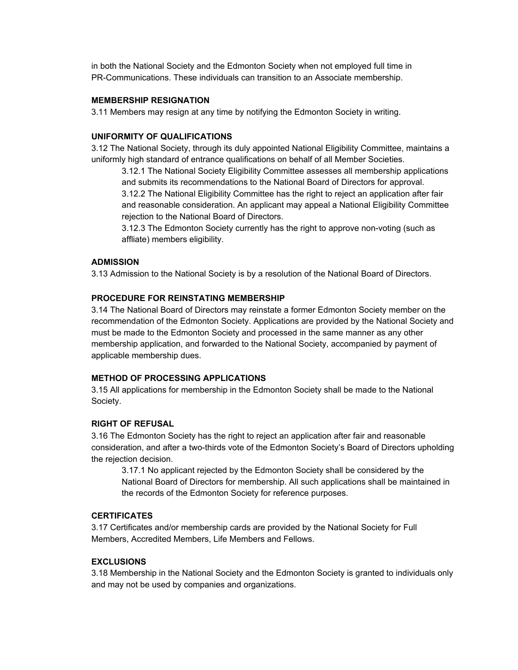in both the National Society and the Edmonton Society when not employed full time in PR-Communications. These individuals can transition to an Associate membership.

# **MEMBERSHIP RESIGNATION**

3.11 Members may resign at any time by notifying the Edmonton Society in writing.

# **UNIFORMITY OF QUALIFICATIONS**

3.12 The National Society, through its duly appointed National Eligibility Committee, maintains a uniformly high standard of entrance qualifications on behalf of all Member Societies.

3.12.1 The National Society Eligibility Committee assesses all membership applications and submits its recommendations to the National Board of Directors for approval. 3.12.2 The National Eligibility Committee has the right to reject an application after fair and reasonable consideration. An applicant may appeal a National Eligibility Committee rejection to the National Board of Directors.

3.12.3 The Edmonton Society currently has the right to approve non-voting (such as affliate) members eligibility.

# **ADMISSION**

3.13 Admission to the National Society is by a resolution of the National Board of Directors.

### **PROCEDURE FOR REINSTATING MEMBERSHIP**

3.14 The National Board of Directors may reinstate a former Edmonton Society member on the recommendation of the Edmonton Society. Applications are provided by the National Society and must be made to the Edmonton Society and processed in the same manner as any other membership application, and forwarded to the National Society, accompanied by payment of applicable membership dues.

### **METHOD OF PROCESSING APPLICATIONS**

3.15 All applications for membership in the Edmonton Society shall be made to the National Society.

# **RIGHT OF REFUSAL**

3.16 The Edmonton Society has the right to reject an application after fair and reasonable consideration, and after a two-thirds vote of the Edmonton Society's Board of Directors upholding the rejection decision.

3.17.1 No applicant rejected by the Edmonton Society shall be considered by the National Board of Directors for membership. All such applications shall be maintained in the records of the Edmonton Society for reference purposes.

### **CERTIFICATES**

3.17 Certificates and/or membership cards are provided by the National Society for Full Members, Accredited Members, Life Members and Fellows.

# **EXCLUSIONS**

3.18 Membership in the National Society and the Edmonton Society is granted to individuals only and may not be used by companies and organizations.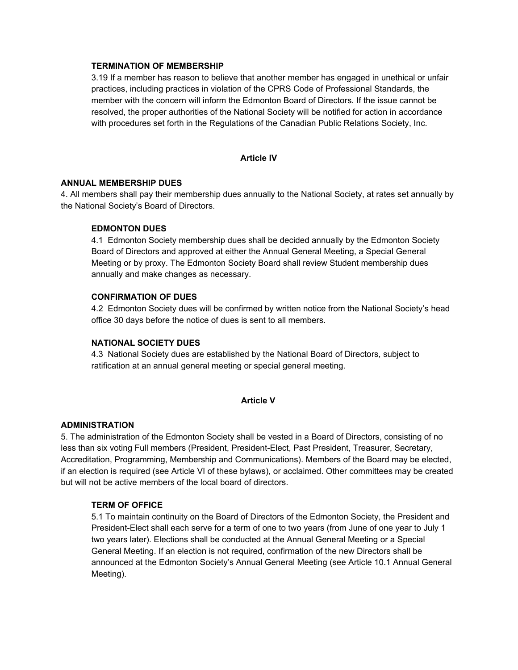# **TERMINATION OF MEMBERSHIP**

3.19 If a member has reason to believe that another member has engaged in unethical or unfair practices, including practices in violation of the CPRS Code of Professional Standards, the member with the concern will inform the Edmonton Board of Directors. If the issue cannot be resolved, the proper authorities of the National Society will be notified for action in accordance with procedures set forth in the Regulations of the Canadian Public Relations Society, Inc.

### **Article IV**

### **ANNUAL MEMBERSHIP DUES**

4. All members shall pay their membership dues annually to the National Society, at rates set annually by the National Society's Board of Directors.

# **EDMONTON DUES**

4.1 Edmonton Society membership dues shall be decided annually by the Edmonton Society Board of Directors and approved at either the Annual General Meeting, a Special General Meeting or by proxy. The Edmonton Society Board shall review Student membership dues annually and make changes as necessary.

### **CONFIRMATION OF DUES**

4.2 Edmonton Society dues will be confirmed by written notice from the National Society's head office 30 days before the notice of dues is sent to all members.

# **NATIONAL SOCIETY DUES**

4.3 National Society dues are established by the National Board of Directors, subject to ratification at an annual general meeting or special general meeting.

### **Article V**

# **ADMINISTRATION**

5. The administration of the Edmonton Society shall be vested in a Board of Directors, consisting of no less than six voting Full members (President, President-Elect, Past President, Treasurer, Secretary, Accreditation, Programming, Membership and Communications). Members of the Board may be elected, if an election is required (see Article VI of these bylaws), or acclaimed. Other committees may be created but will not be active members of the local board of directors.

### **TERM OF OFFICE**

5.1 To maintain continuity on the Board of Directors of the Edmonton Society, the President and President-Elect shall each serve for a term of one to two years (from June of one year to July 1 two years later). Elections shall be conducted at the Annual General Meeting or a Special General Meeting. If an election is not required, confirmation of the new Directors shall be announced at the Edmonton Society's Annual General Meeting (see Article 10.1 Annual General Meeting).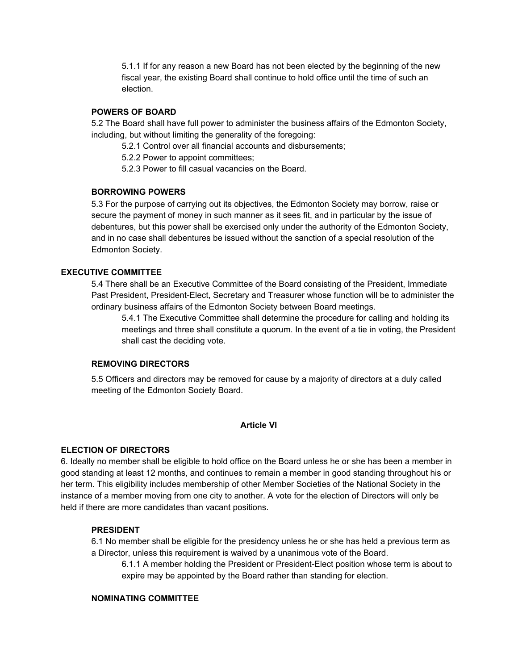5.1.1 If for any reason a new Board has not been elected by the beginning of the new fiscal year, the existing Board shall continue to hold office until the time of such an election.

# **POWERS OF BOARD**

5.2 The Board shall have full power to administer the business affairs of the Edmonton Society, including, but without limiting the generality of the foregoing:

5.2.1 Control over all financial accounts and disbursements;

5.2.2 Power to appoint committees;

5.2.3 Power to fill casual vacancies on the Board.

# **BORROWING POWERS**

5.3 For the purpose of carrying out its objectives, the Edmonton Society may borrow, raise or secure the payment of money in such manner as it sees fit, and in particular by the issue of debentures, but this power shall be exercised only under the authority of the Edmonton Society, and in no case shall debentures be issued without the sanction of a special resolution of the Edmonton Society.

# **EXECUTIVE COMMITTEE**

5.4 There shall be an Executive Committee of the Board consisting of the President, Immediate Past President, President-Elect, Secretary and Treasurer whose function will be to administer the ordinary business affairs of the Edmonton Society between Board meetings.

5.4.1 The Executive Committee shall determine the procedure for calling and holding its meetings and three shall constitute a quorum. In the event of a tie in voting, the President shall cast the deciding vote.

# **REMOVING DIRECTORS**

5.5 Officers and directors may be removed for cause by a majority of directors at a duly called meeting of the Edmonton Society Board.

# **Article VI**

# **ELECTION OF DIRECTORS**

6. Ideally no member shall be eligible to hold office on the Board unless he or she has been a member in good standing at least 12 months, and continues to remain a member in good standing throughout his or her term. This eligibility includes membership of other Member Societies of the National Society in the instance of a member moving from one city to another. A vote for the election of Directors will only be held if there are more candidates than vacant positions.

# **PRESIDENT**

6.1 No member shall be eligible for the presidency unless he or she has held a previous term as a Director, unless this requirement is waived by a unanimous vote of the Board.

6.1.1 A member holding the President or President-Elect position whose term is about to expire may be appointed by the Board rather than standing for election.

### **NOMINATING COMMITTEE**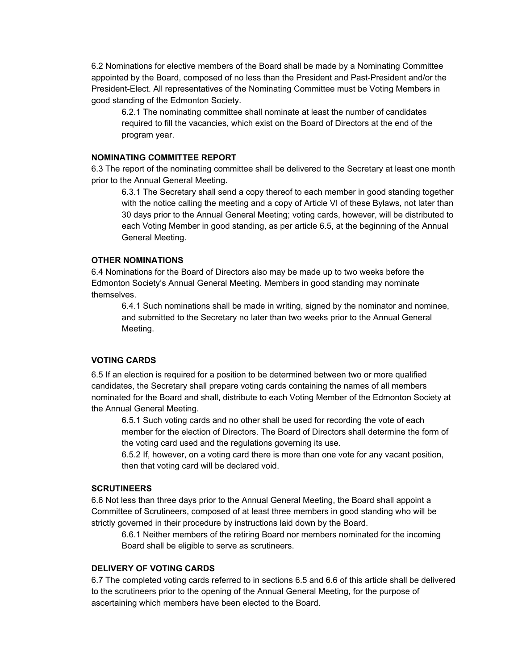6.2 Nominations for elective members of the Board shall be made by a Nominating Committee appointed by the Board, composed of no less than the President and Past-President and/or the President-Elect. All representatives of the Nominating Committee must be Voting Members in good standing of the Edmonton Society.

6.2.1 The nominating committee shall nominate at least the number of candidates required to fill the vacancies, which exist on the Board of Directors at the end of the program year.

# **NOMINATING COMMITTEE REPORT**

6.3 The report of the nominating committee shall be delivered to the Secretary at least one month prior to the Annual General Meeting.

6.3.1 The Secretary shall send a copy thereof to each member in good standing together with the notice calling the meeting and a copy of Article VI of these Bylaws, not later than 30 days prior to the Annual General Meeting; voting cards, however, will be distributed to each Voting Member in good standing, as per article 6.5, at the beginning of the Annual General Meeting.

# **OTHER NOMINATIONS**

6.4 Nominations for the Board of Directors also may be made up to two weeks before the Edmonton Society's Annual General Meeting. Members in good standing may nominate themselves.

6.4.1 Such nominations shall be made in writing, signed by the nominator and nominee, and submitted to the Secretary no later than two weeks prior to the Annual General Meeting.

# **VOTING CARDS**

6.5 If an election is required for a position to be determined between two or more qualified candidates, the Secretary shall prepare voting cards containing the names of all members nominated for the Board and shall, distribute to each Voting Member of the Edmonton Society at the Annual General Meeting.

6.5.1 Such voting cards and no other shall be used for recording the vote of each member for the election of Directors. The Board of Directors shall determine the form of the voting card used and the regulations governing its use.

6.5.2 If, however, on a voting card there is more than one vote for any vacant position, then that voting card will be declared void.

# **SCRUTINEERS**

6.6 Not less than three days prior to the Annual General Meeting, the Board shall appoint a Committee of Scrutineers, composed of at least three members in good standing who will be strictly governed in their procedure by instructions laid down by the Board.

6.6.1 Neither members of the retiring Board nor members nominated for the incoming Board shall be eligible to serve as scrutineers.

# **DELIVERY OF VOTING CARDS**

6.7 The completed voting cards referred to in sections 6.5 and 6.6 of this article shall be delivered to the scrutineers prior to the opening of the Annual General Meeting, for the purpose of ascertaining which members have been elected to the Board.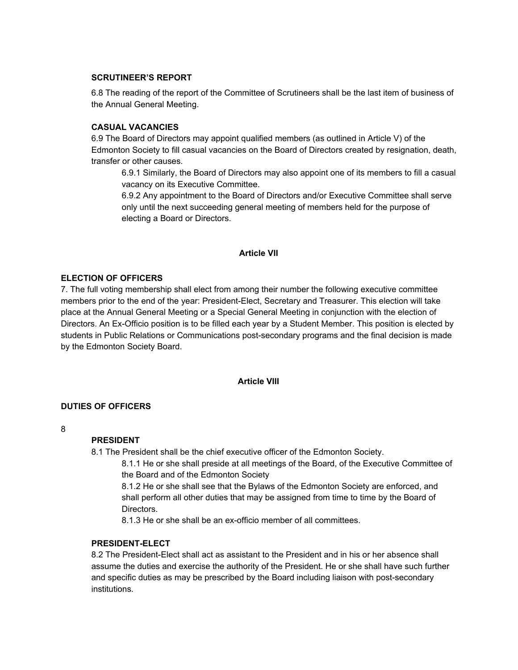# **SCRUTINEER'S REPORT**

6.8 The reading of the report of the Committee of Scrutineers shall be the last item of business of the Annual General Meeting.

# **CASUAL VACANCIES**

6.9 The Board of Directors may appoint qualified members (as outlined in Article V) of the Edmonton Society to fill casual vacancies on the Board of Directors created by resignation, death, transfer or other causes.

6.9.1 Similarly, the Board of Directors may also appoint one of its members to fill a casual vacancy on its Executive Committee.

6.9.2 Any appointment to the Board of Directors and/or Executive Committee shall serve only until the next succeeding general meeting of members held for the purpose of electing a Board or Directors.

# **Article VII**

# **ELECTION OF OFFICERS**

7. The full voting membership shall elect from among their number the following executive committee members prior to the end of the year: President-Elect, Secretary and Treasurer. This election will take place at the Annual General Meeting or a Special General Meeting in conjunction with the election of Directors. An Ex-Officio position is to be filled each year by a Student Member. This position is elected by students in Public Relations or Communications post-secondary programs and the final decision is made by the Edmonton Society Board.

# **Article VIII**

### **DUTIES OF OFFICERS**

8

# **PRESIDENT**

8.1 The President shall be the chief executive officer of the Edmonton Society.

8.1.1 He or she shall preside at all meetings of the Board, of the Executive Committee of the Board and of the Edmonton Society

8.1.2 He or she shall see that the Bylaws of the Edmonton Society are enforced, and shall perform all other duties that may be assigned from time to time by the Board of Directors.

8.1.3 He or she shall be an ex-officio member of all committees.

### **PRESIDENT-ELECT**

8.2 The President-Elect shall act as assistant to the President and in his or her absence shall assume the duties and exercise the authority of the President. He or she shall have such further and specific duties as may be prescribed by the Board including liaison with post-secondary institutions.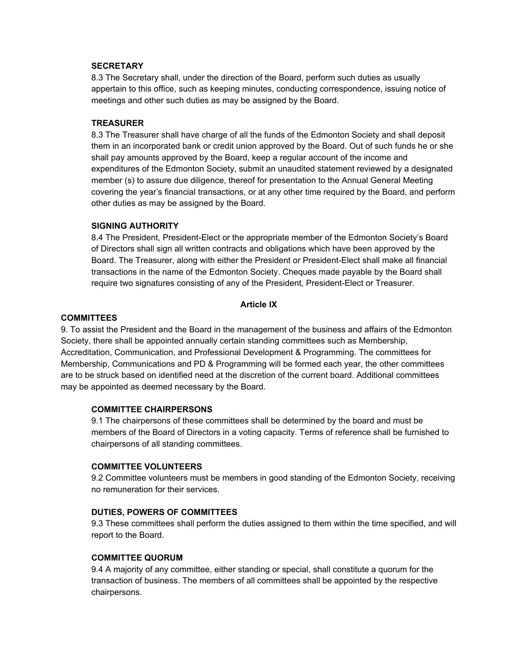### **SECRETARY**

8.3 The Secretary shall, under the direction of the Board, perform such duties as usually appertain to this office, such as keeping minutes, conducting correspondence, issuing notice of meetings and other such duties as may be assigned by the Board.

### **TREASURER**

8.3 The Treasurer shall have charge of all the funds of the Edmonton Society and shall deposit them in an incorporated bank or credit union approved by the Board. Out of such funds he or she shall pay amounts approved by the Board, keep a regular account of the income and expenditures of the Edmonton Society, submit an unaudited statement reviewed by a designated member (s) to assure due diligence, thereof for presentation to the Annual General Meeting covering the year's financial transactions, or at any other time required by the Board, and perform other duties as may be assigned by the Board.

# **SIGNING AUTHORITY**

8.4 The President, President-Elect or the appropriate member of the Edmonton Society's Board of Directors shall sign all written contracts and obligations which have been approved by the Board. The Treasurer, along with either the President or President-Elect shall make all financial transactions in the name of the Edmonton Society. Cheques made payable by the Board shall require two signatures consisting of any of the President, President-Elect or Treasurer.

### **Article IX**

### **COMMITTEES**

9. To assist the President and the Board in the management of the business and affairs of the Edmonton Society, there shall be appointed annually certain standing committees such as Membership, Accreditation, Communication, and Professional Development & Programming. The committees for Membership, Communications and PD & Programming will be formed each year, the other committees are to be struck based on identified need at the discretion of the current board. Additional committees may be appointed as deemed necessary by the Board.

### **COMMITTEE CHAIRPERSONS**

9.1 The chairpersons of these committees shall be determined by the board and must be members of the Board of Directors in a voting capacity. Terms of reference shall be furnished to chairpersons of all standing committees.

# **COMMITTEE VOLUNTEERS**

9.2 Committee volunteers must be members in good standing of the Edmonton Society, receiving no remuneration for their services.

### **DUTIES, POWERS OF COMMITTEES**

9.3 These committees shall perform the duties assigned to them within the time specified, and will report to the Board.

# **COMMITTEE QUORUM**

9.4 A majority of any committee, either standing or special, shall constitute a quorum for the transaction of business. The members of all committees shall be appointed by the respective chairpersons.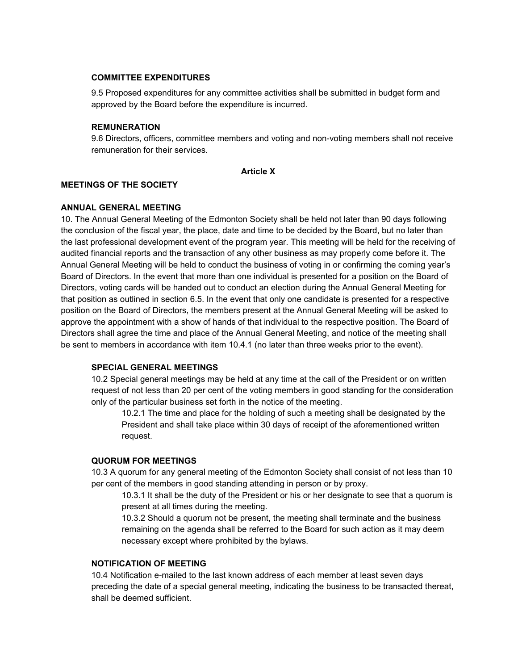### **COMMITTEE EXPENDITURES**

9.5 Proposed expenditures for any committee activities shall be submitted in budget form and approved by the Board before the expenditure is incurred.

### **REMUNERATION**

9.6 Directors, officers, committee members and voting and non-voting members shall not receive remuneration for their services.

### **Article X**

# **MEETINGS OF THE SOCIETY**

# **ANNUAL GENERAL MEETING**

10. The Annual General Meeting of the Edmonton Society shall be held not later than 90 days following the conclusion of the fiscal year, the place, date and time to be decided by the Board, but no later than the last professional development event of the program year. This meeting will be held for the receiving of audited financial reports and the transaction of any other business as may properly come before it. The Annual General Meeting will be held to conduct the business of voting in or confirming the coming year's Board of Directors. In the event that more than one individual is presented for a position on the Board of Directors, voting cards will be handed out to conduct an election during the Annual General Meeting for that position as outlined in section 6.5. In the event that only one candidate is presented for a respective position on the Board of Directors, the members present at the Annual General Meeting will be asked to approve the appointment with a show of hands of that individual to the respective position. The Board of Directors shall agree the time and place of the Annual General Meeting, and notice of the meeting shall be sent to members in accordance with item 10.4.1 (no later than three weeks prior to the event).

# **SPECIAL GENERAL MEETINGS**

10.2 Special general meetings may be held at any time at the call of the President or on written request of not less than 20 per cent of the voting members in good standing for the consideration only of the particular business set forth in the notice of the meeting.

10.2.1 The time and place for the holding of such a meeting shall be designated by the President and shall take place within 30 days of receipt of the aforementioned written request.

### **QUORUM FOR MEETINGS**

10.3 A quorum for any general meeting of the Edmonton Society shall consist of not less than 10 per cent of the members in good standing attending in person or by proxy.

10.3.1 It shall be the duty of the President or his or her designate to see that a quorum is present at all times during the meeting.

10.3.2 Should a quorum not be present, the meeting shall terminate and the business remaining on the agenda shall be referred to the Board for such action as it may deem necessary except where prohibited by the bylaws.

# **NOTIFICATION OF MEETING**

10.4 Notification e-mailed to the last known address of each member at least seven days preceding the date of a special general meeting, indicating the business to be transacted thereat, shall be deemed sufficient.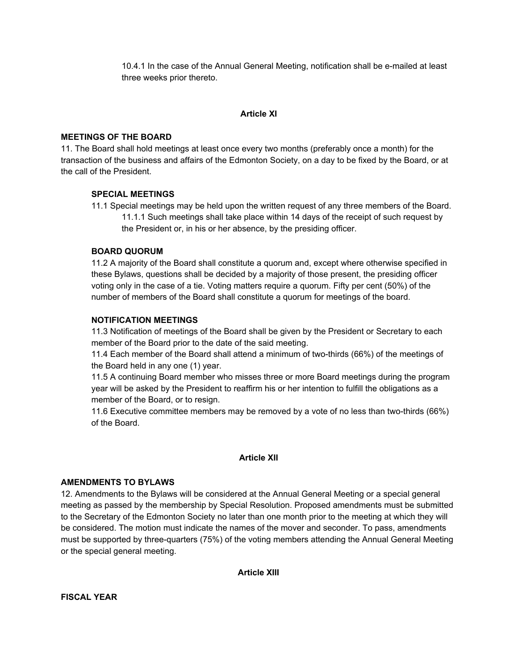10.4.1 In the case of the Annual General Meeting, notification shall be e-mailed at least three weeks prior thereto.

# **Article XI**

# **MEETINGS OF THE BOARD**

11. The Board shall hold meetings at least once every two months (preferably once a month) for the transaction of the business and affairs of the Edmonton Society, on a day to be fixed by the Board, or at the call of the President.

# **SPECIAL MEETINGS**

11.1 Special meetings may be held upon the written request of any three members of the Board. 11.1.1 Such meetings shall take place within 14 days of the receipt of such request by the President or, in his or her absence, by the presiding officer.

# **BOARD QUORUM**

11.2 A majority of the Board shall constitute a quorum and, except where otherwise specified in these Bylaws, questions shall be decided by a majority of those present, the presiding officer voting only in the case of a tie. Voting matters require a quorum. Fifty per cent (50%) of the number of members of the Board shall constitute a quorum for meetings of the board.

# **NOTIFICATION MEETINGS**

11.3 Notification of meetings of the Board shall be given by the President or Secretary to each member of the Board prior to the date of the said meeting.

11.4 Each member of the Board shall attend a minimum of two-thirds (66%) of the meetings of the Board held in any one (1) year.

11.5 A continuing Board member who misses three or more Board meetings during the program year will be asked by the President to reaffirm his or her intention to fulfill the obligations as a member of the Board, or to resign.

11.6 Executive committee members may be removed by a vote of no less than two-thirds (66%) of the Board.

### **Article XII**

### **AMENDMENTS TO BYLAWS**

12. Amendments to the Bylaws will be considered at the Annual General Meeting or a special general meeting as passed by the membership by Special Resolution. Proposed amendments must be submitted to the Secretary of the Edmonton Society no later than one month prior to the meeting at which they will be considered. The motion must indicate the names of the mover and seconder. To pass, amendments must be supported by three-quarters (75%) of the voting members attending the Annual General Meeting or the special general meeting.

**Article XIII**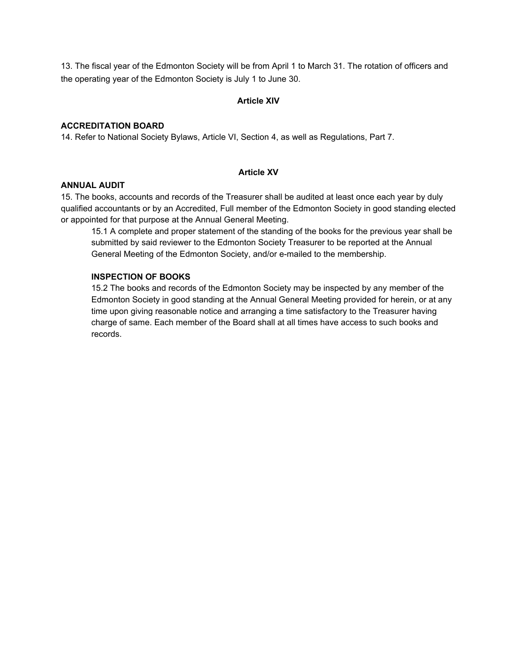13. The fiscal year of the Edmonton Society will be from April 1 to March 31. The rotation of officers and the operating year of the Edmonton Society is July 1 to June 30.

# **Article XIV**

# **ACCREDITATION BOARD**

14. Refer to National Society Bylaws, Article VI, Section 4, as well as Regulations, Part 7.

# **Article XV**

### **ANNUAL AUDIT**

15. The books, accounts and records of the Treasurer shall be audited at least once each year by duly qualified accountants or by an Accredited, Full member of the Edmonton Society in good standing elected or appointed for that purpose at the Annual General Meeting.

15.1 A complete and proper statement of the standing of the books for the previous year shall be submitted by said reviewer to the Edmonton Society Treasurer to be reported at the Annual General Meeting of the Edmonton Society, and/or e-mailed to the membership.

# **INSPECTION OF BOOKS**

15.2 The books and records of the Edmonton Society may be inspected by any member of the Edmonton Society in good standing at the Annual General Meeting provided for herein, or at any time upon giving reasonable notice and arranging a time satisfactory to the Treasurer having charge of same. Each member of the Board shall at all times have access to such books and records.